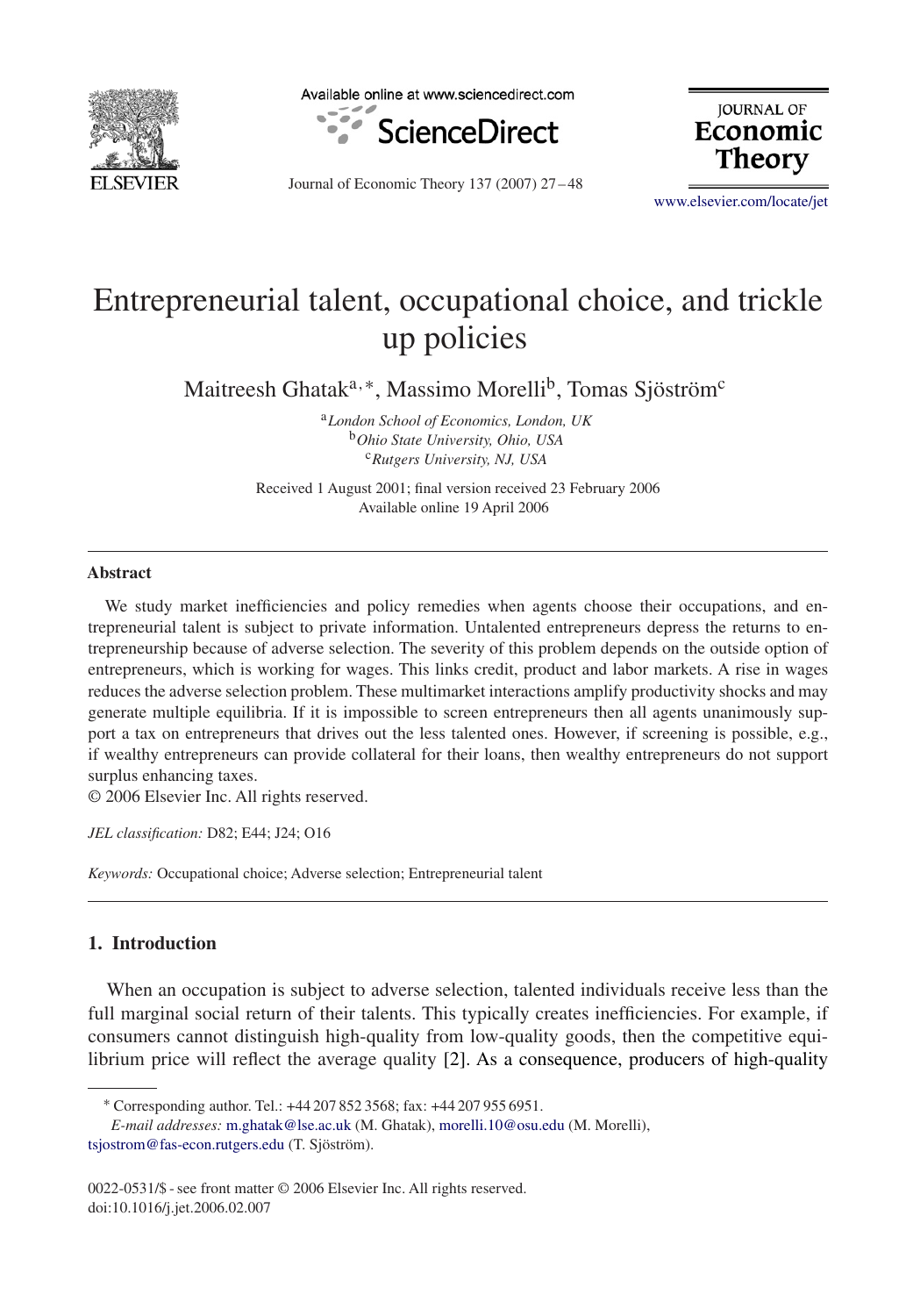

Available online at www.sciencedirect.com



Journal of Economic Theory 137 (2007) 27 – 48

**JOURNAL OF** Economic Theory

[www.elsevier.com/locate/jet](http://www.elsevier.com/locate/jet)

## Entrepreneurial talent, occupational choice, and trickle up policies

Maitreesh Ghatak<sup>a,∗</sup>, Massimo Morelli<sup>b</sup>, Tomas Sjöström<sup>c</sup>

<sup>a</sup>*London School of Economics, London, UK* <sup>b</sup>*Ohio State University, Ohio, USA* <sup>c</sup>*Rutgers University, NJ, USA*

Received 1 August 2001; final version received 23 February 2006 Available online 19 April 2006

## **Abstract**

We study market inefficiencies and policy remedies when agents choose their occupations, and entrepreneurial talent is subject to private information. Untalented entrepreneurs depress the returns to entrepreneurship because of adverse selection. The severity of this problem depends on the outside option of entrepreneurs, which is working for wages. This links credit, product and labor markets. A rise in wages reduces the adverse selection problem. These multimarket interactions amplify productivity shocks and may generate multiple equilibria. If it is impossible to screen entrepreneurs then all agents unanimously support a tax on entrepreneurs that drives out the less talented ones. However, if screening is possible, e.g., if wealthy entrepreneurs can provide collateral for their loans, then wealthy entrepreneurs do not support surplus enhancing taxes.

© 2006 Elsevier Inc. All rights reserved.

*JEL classification:* D82; E44; J24; O16

*Keywords:* Occupational choice; Adverse selection; Entrepreneurial talent

## **1. Introduction**

When an occupation is subject to adverse selection, talented individuals receive less than the full marginal social return of their talents. This typically creates inefficiencies. For example, if consumers cannot distinguish high-quality from low-quality goods, then the competitive equilibrium price will reflect the average quality [\[2\].](#page--1-0) As a consequence, producers of high-quality

<sup>∗</sup> Corresponding author. Tel.: +44 207 852 3568; fax: +44 207 955 6951.

*E-mail addresses:* [m.ghatak@lse.ac.uk](mailto:m.ghatak@lse.ac.uk) (M. Ghatak), [morelli.10@osu.edu](mailto:morelli.10@osu.edu) (M. Morelli), [tsjostrom@fas-econ.rutgers.edu](mailto:tsjostrom@fas-econ.rutgers.edu) (T. Sjöström).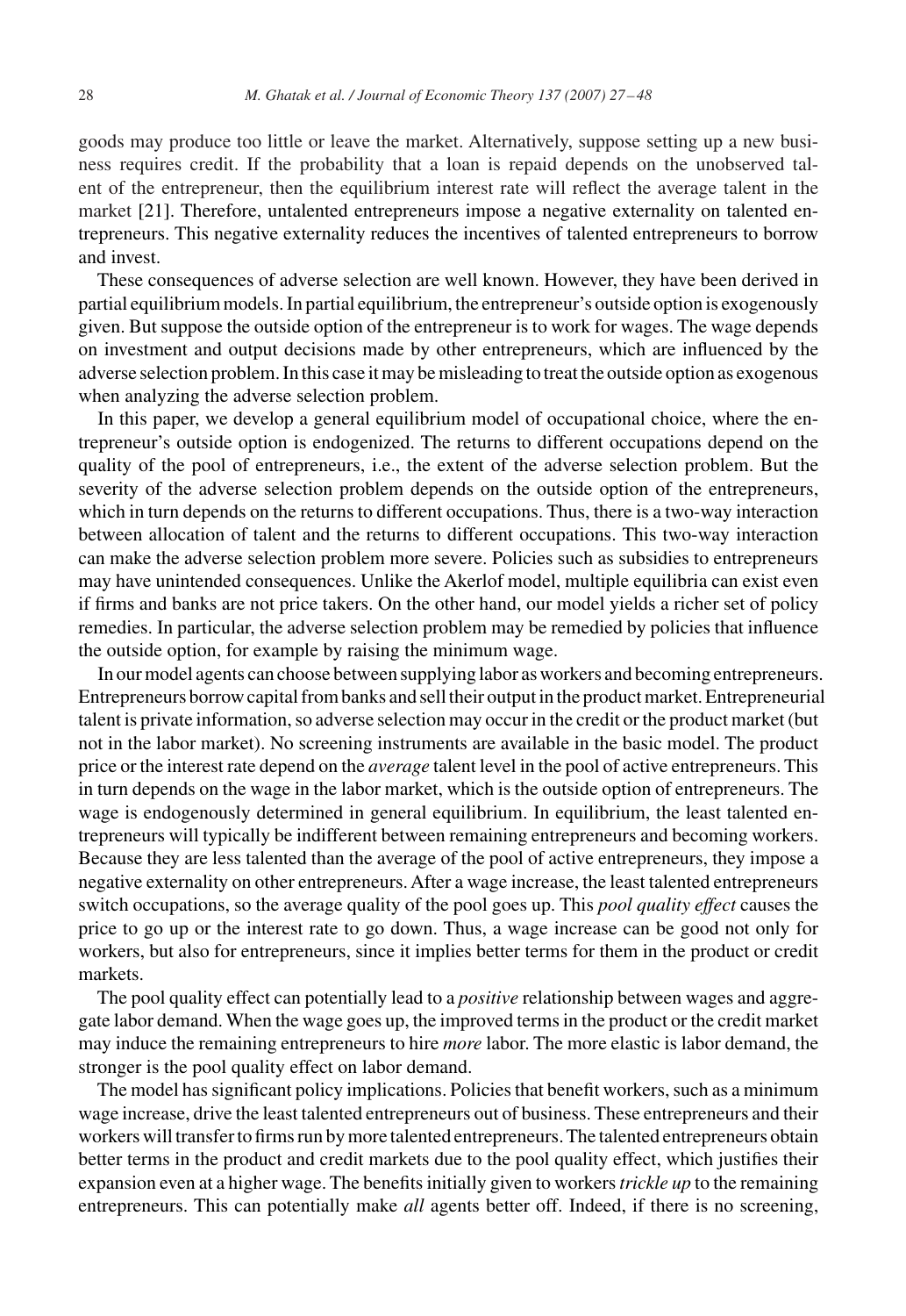goods may produce too little or leave the market. Alternatively, suppose setting up a new business requires credit. If the probability that a loan is repaid depends on the unobserved talent of the entrepreneur, then the equilibrium interest rate will reflect the average talent in the market [21]. Therefore, untalented entrepreneurs impose a negative externality on talented entrepreneurs. This negative externality reduces the incentives of talented entrepreneurs to borrow and invest.

These consequences of adverse selection are well known. However, they have been derived in partial equilibrium models. In partial equilibrium, the entrepreneur's outside option is exogenously given. But suppose the outside option of the entrepreneur is to work for wages. The wage depends on investment and output decisions made by other entrepreneurs, which are influenced by the adverse selection problem. In this case it may be misleading to treat the outside option as exogenous when analyzing the adverse selection problem.

In this paper, we develop a general equilibrium model of occupational choice, where the entrepreneur's outside option is endogenized. The returns to different occupations depend on the quality of the pool of entrepreneurs, i.e., the extent of the adverse selection problem. But the severity of the adverse selection problem depends on the outside option of the entrepreneurs, which in turn depends on the returns to different occupations. Thus, there is a two-way interaction between allocation of talent and the returns to different occupations. This two-way interaction can make the adverse selection problem more severe. Policies such as subsidies to entrepreneurs may have unintended consequences. Unlike the Akerlof model, multiple equilibria can exist even if firms and banks are not price takers. On the other hand, our model yields a richer set of policy remedies. In particular, the adverse selection problem may be remedied by policies that influence the outside option, for example by raising the minimum wage.

In our model agents can choose between supplying labor as workers and becoming entrepreneurs. Entrepreneurs borrow capital from banks and sell their output in the product market. Entrepreneurial talent is private information, so adverse selection may occur in the credit or the product market (but not in the labor market). No screening instruments are available in the basic model. The product price or the interest rate depend on the *average* talent level in the pool of active entrepreneurs. This in turn depends on the wage in the labor market, which is the outside option of entrepreneurs. The wage is endogenously determined in general equilibrium. In equilibrium, the least talented entrepreneurs will typically be indifferent between remaining entrepreneurs and becoming workers. Because they are less talented than the average of the pool of active entrepreneurs, they impose a negative externality on other entrepreneurs. After a wage increase, the least talented entrepreneurs switch occupations, so the average quality of the pool goes up. This *pool quality effect* causes the price to go up or the interest rate to go down. Thus, a wage increase can be good not only for workers, but also for entrepreneurs, since it implies better terms for them in the product or credit markets.

The pool quality effect can potentially lead to a *positive* relationship between wages and aggregate labor demand.When the wage goes up, the improved terms in the product or the credit market may induce the remaining entrepreneurs to hire *more* labor. The more elastic is labor demand, the stronger is the pool quality effect on labor demand.

The model has significant policy implications. Policies that benefit workers, such as a minimum wage increase, drive the least talented entrepreneurs out of business. These entrepreneurs and their workers will transfer to firms run by more talented entrepreneurs. The talented entrepreneurs obtain better terms in the product and credit markets due to the pool quality effect, which justifies their expansion even at a higher wage. The benefits initially given to workers*trickle up* to the remaining entrepreneurs. This can potentially make *all* agents better off. Indeed, if there is no screening,